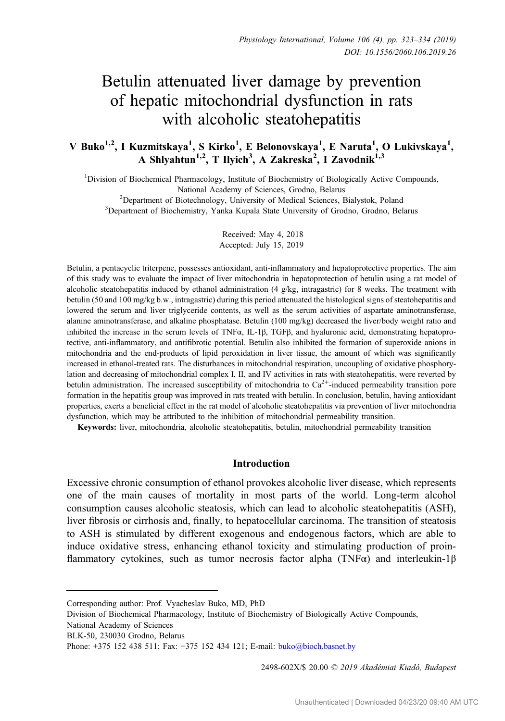# Betulin attenuated liver damage by prevention of hepatic mitochondrial dysfunction in rats with alcoholic steatohepatitis

V Buko<sup>1,2</sup>, I Kuzmitskaya<sup>1</sup>, S Kirko<sup>1</sup>, E Belonovskaya<sup>1</sup>, E Naruta<sup>1</sup>, O Lukivskaya<sup>1</sup>, A Shlyahtun<sup>1,2</sup>, T Ilyich<sup>3</sup>, A Zakreska<sup>2</sup>, I Zavodnik<sup>1,3</sup>

<sup>1</sup>Division of Biochemical Pharmacology, Institute of Biochemistry of Biologically Active Compounds, National Academy of Sciences, Grodno, Belarus<br><sup>2</sup>Department of Biotechnology, University of Medical Sciences, 1

 $\text{Department of Biotechnology, University of Medical Sciences, Bialystok, Poland}$ <br>3Department of Biochemistry, Vanka Kunala State University of Grodno, Grodno, Bel <sup>3</sup>Department of Biochemistry, Yanka Kupala State University of Grodno, Grodno, Belarus

> Received: May 4, 2018 Accepted: July 15, 2019

Betulin, a pentacyclic triterpene, possesses antioxidant, anti-inflammatory and hepatoprotective properties. The aim of this study was to evaluate the impact of liver mitochondria in hepatoprotection of betulin using a rat model of alcoholic steatohepatitis induced by ethanol administration (4 g/kg, intragastric) for 8 weeks. The treatment with betulin (50 and 100 mg/kg b.w., intragastric) during this period attenuated the histological signs of steatohepatitis and lowered the serum and liver triglyceride contents, as well as the serum activities of aspartate aminotransferase, alanine aminotransferase, and alkaline phosphatase. Betulin (100 mg/kg) decreased the liver/body weight ratio and inhibited the increase in the serum levels of TNFα, IL-1β, TGFβ, and hyaluronic acid, demonstrating hepatoprotective, anti-inflammatory, and antifibrotic potential. Betulin also inhibited the formation of superoxide anions in mitochondria and the end-products of lipid peroxidation in liver tissue, the amount of which was significantly increased in ethanol-treated rats. The disturbances in mitochondrial respiration, uncoupling of oxidative phosphorylation and decreasing of mitochondrial complex I, II, and IV activities in rats with steatohepatitis, were reverted by betulin administration. The increased susceptibility of mitochondria to  $Ca^{2+}$ -induced permeability transition pore formation in the hepatitis group was improved in rats treated with betulin. In conclusion, betulin, having antioxidant properties, exerts a beneficial effect in the rat model of alcoholic steatohepatitis via prevention of liver mitochondria dysfunction, which may be attributed to the inhibition of mitochondrial permeability transition.

Keywords: liver, mitochondria, alcoholic steatohepatitis, betulin, mitochondrial permeability transition

## **Introduction**

Excessive chronic consumption of ethanol provokes alcoholic liver disease, which represents one of the main causes of mortality in most parts of the world. Long-term alcohol consumption causes alcoholic steatosis, which can lead to alcoholic steatohepatitis (ASH), liver fibrosis or cirrhosis and, finally, to hepatocellular carcinoma. The transition of steatosis to ASH is stimulated by different exogenous and endogenous factors, which are able to induce oxidative stress, enhancing ethanol toxicity and stimulating production of proinflammatory cytokines, such as tumor necrosis factor alpha (TNF $\alpha$ ) and interleukin-1 $\beta$ 

National Academy of Sciences

2498-602X/\$ 20.00 © 2019 Akadémiai Kiadó, Budapest

Corresponding author: Prof. Vyacheslav Buko, MD, PhD

Division of Biochemical Pharmacology, Institute of Biochemistry of Biologically Active Compounds,

BLK-50, 230030 Grodno, Belarus

Phone: +375 152 438 511; Fax: +375 152 434 121; E-mail: [buko@bioch.basnet.by](mailto:buko@bioch.basnet.by)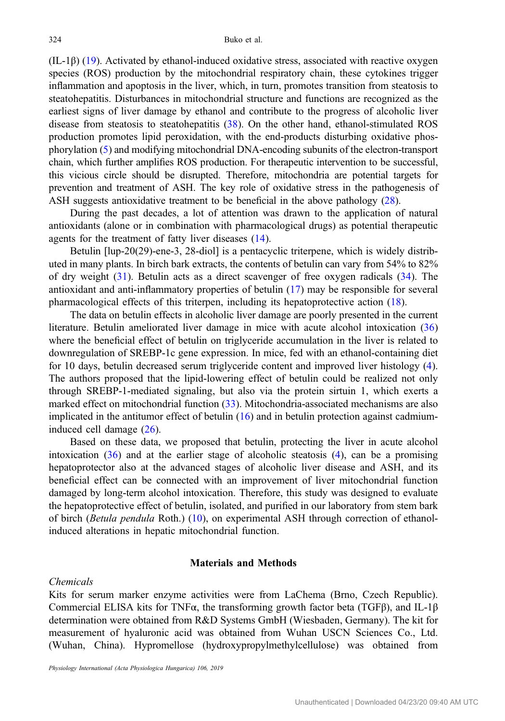(IL-1β) ([19\)](#page-11-0). Activated by ethanol-induced oxidative stress, associated with reactive oxygen species (ROS) production by the mitochondrial respiratory chain, these cytokines trigger inflammation and apoptosis in the liver, which, in turn, promotes transition from steatosis to steatohepatitis. Disturbances in mitochondrial structure and functions are recognized as the earliest signs of liver damage by ethanol and contribute to the progress of alcoholic liver disease from steatosis to steatohepatitis [\(38](#page-11-0)). On the other hand, ethanol-stimulated ROS production promotes lipid peroxidation, with the end-products disturbing oxidative phosphorylation [\(5](#page-10-0)) and modifying mitochondrial DNA-encoding subunits of the electron-transport chain, which further amplifies ROS production. For therapeutic intervention to be successful, this vicious circle should be disrupted. Therefore, mitochondria are potential targets for prevention and treatment of ASH. The key role of oxidative stress in the pathogenesis of ASH suggests antioxidative treatment to be beneficial in the above pathology ([28](#page-11-0)).

During the past decades, a lot of attention was drawn to the application of natural antioxidants (alone or in combination with pharmacological drugs) as potential therapeutic agents for the treatment of fatty liver diseases [\(14](#page-11-0)).

Betulin [lup-20(29)-ene-3, 28-diol] is a pentacyclic triterpene, which is widely distributed in many plants. In birch bark extracts, the contents of betulin can vary from 54% to 82% of dry weight [\(31](#page-11-0)). Betulin acts as a direct scavenger of free oxygen radicals ([34\)](#page-11-0). The antioxidant and anti-inflammatory properties of betulin [\(17](#page-11-0)) may be responsible for several pharmacological effects of this triterpen, including its hepatoprotective action [\(18](#page-11-0)).

The data on betulin effects in alcoholic liver damage are poorly presented in the current literature. Betulin ameliorated liver damage in mice with acute alcohol intoxication ([36\)](#page-11-0) where the beneficial effect of betulin on triglyceride accumulation in the liver is related to downregulation of SREBP-1c gene expression. In mice, fed with an ethanol-containing diet for 10 days, betulin decreased serum triglyceride content and improved liver histology [\(4](#page-10-0)). The authors proposed that the lipid-lowering effect of betulin could be realized not only through SREBP-1-mediated signaling, but also via the protein sirtuin 1, which exerts a marked effect on mitochondrial function [\(33](#page-11-0)). Mitochondria-associated mechanisms are also implicated in the antitumor effect of betulin  $(16)$  $(16)$  and in betulin protection against cadmiuminduced cell damage [\(26](#page-11-0)).

Based on these data, we proposed that betulin, protecting the liver in acute alcohol intoxication  $(36)$  $(36)$  and at the earlier stage of alcoholic steatosis  $(4)$  $(4)$ , can be a promising hepatoprotector also at the advanced stages of alcoholic liver disease and ASH, and its beneficial effect can be connected with an improvement of liver mitochondrial function damaged by long-term alcohol intoxication. Therefore, this study was designed to evaluate the hepatoprotective effect of betulin, isolated, and purified in our laboratory from stem bark of birch (Betula pendula Roth.) ([10\)](#page-10-0), on experimental ASH through correction of ethanolinduced alterations in hepatic mitochondrial function.

## Materials and Methods

## Chemicals

Kits for serum marker enzyme activities were from LaChema (Brno, Czech Republic). Commercial ELISA kits for TNF $\alpha$ , the transforming growth factor beta (TGFβ), and IL-1β determination were obtained from R&D Systems GmbH (Wiesbaden, Germany). The kit for measurement of hyaluronic acid was obtained from Wuhan USCN Sciences Co., Ltd. (Wuhan, China). Hypromellose (hydroxypropylmethylcellulose) was obtained from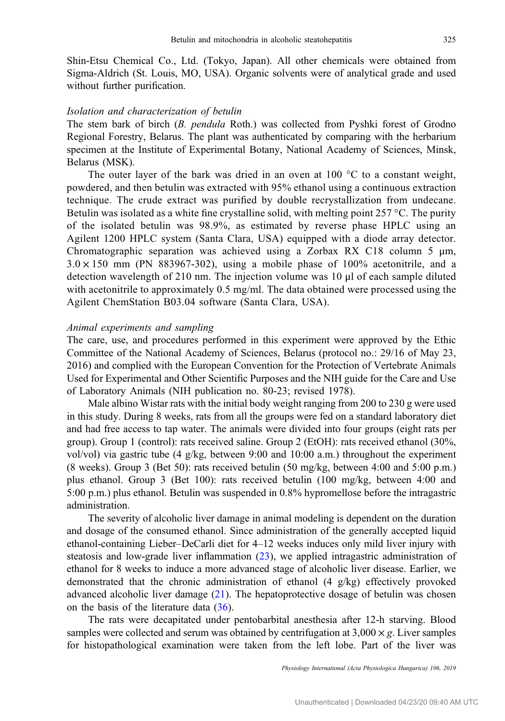Shin-Etsu Chemical Co., Ltd. (Tokyo, Japan). All other chemicals were obtained from Sigma-Aldrich (St. Louis, MO, USA). Organic solvents were of analytical grade and used without further purification.

# Isolation and characterization of betulin

The stem bark of birch (B. pendula Roth.) was collected from Pyshki forest of Grodno Regional Forestry, Belarus. The plant was authenticated by comparing with the herbarium specimen at the Institute of Experimental Botany, National Academy of Sciences, Minsk, Belarus (MSK).

The outer layer of the bark was dried in an oven at  $100\degree\text{C}$  to a constant weight, powdered, and then betulin was extracted with 95% ethanol using a continuous extraction technique. The crude extract was purified by double recrystallization from undecane. Betulin was isolated as a white fine crystalline solid, with melting point  $257 \degree C$ . The purity of the isolated betulin was 98.9%, as estimated by reverse phase HPLC using an Agilent 1200 HPLC system (Santa Clara, USA) equipped with a diode array detector. Chromatographic separation was achieved using a Zorbax RX C18 column 5 μm,  $3.0 \times 150$  mm (PN 883967-302), using a mobile phase of 100% acetonitrile, and a detection wavelength of 210 nm. The injection volume was 10 μl of each sample diluted with acetonitrile to approximately 0.5 mg/ml. The data obtained were processed using the Agilent ChemStation B03.04 software (Santa Clara, USA).

## Animal experiments and sampling

The care, use, and procedures performed in this experiment were approved by the Ethic Committee of the National Academy of Sciences, Belarus (protocol no.: 29/16 of May 23, 2016) and complied with the European Convention for the Protection of Vertebrate Animals Used for Experimental and Other Scientific Purposes and the NIH guide for the Care and Use of Laboratory Animals (NIH publication no. 80-23; revised 1978).

Male albino Wistar rats with the initial body weight ranging from 200 to 230 g were used in this study. During 8 weeks, rats from all the groups were fed on a standard laboratory diet and had free access to tap water. The animals were divided into four groups (eight rats per group). Group 1 (control): rats received saline. Group 2 (EtOH): rats received ethanol (30%, vol/vol) via gastric tube (4 g/kg, between 9:00 and 10:00 a.m.) throughout the experiment (8 weeks). Group 3 (Bet 50): rats received betulin (50 mg/kg, between 4:00 and 5:00 p.m.) plus ethanol. Group 3 (Bet 100): rats received betulin (100 mg/kg, between 4:00 and 5:00 p.m.) plus ethanol. Betulin was suspended in 0.8% hypromellose before the intragastric administration.

The severity of alcoholic liver damage in animal modeling is dependent on the duration and dosage of the consumed ethanol. Since administration of the generally accepted liquid ethanol-containing Lieber–DeCarli diet for 4–12 weeks induces only mild liver injury with steatosis and low-grade liver inflammation [\(23](#page-11-0)), we applied intragastric administration of ethanol for 8 weeks to induce a more advanced stage of alcoholic liver disease. Earlier, we demonstrated that the chronic administration of ethanol (4 g/kg) effectively provoked advanced alcoholic liver damage ([21\)](#page-11-0). The hepatoprotective dosage of betulin was chosen on the basis of the literature data ([36\)](#page-11-0).

The rats were decapitated under pentobarbital anesthesia after 12-h starving. Blood samples were collected and serum was obtained by centrifugation at  $3,000 \times g$ . Liver samples for histopathological examination were taken from the left lobe. Part of the liver was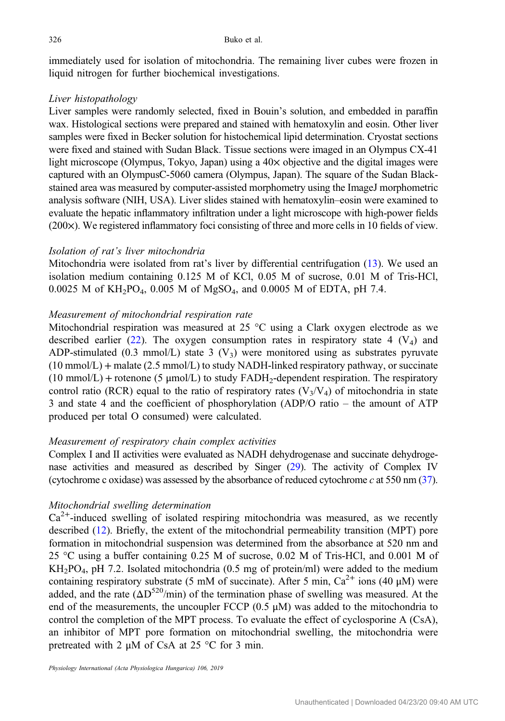immediately used for isolation of mitochondria. The remaining liver cubes were frozen in liquid nitrogen for further biochemical investigations.

# Liver histopathology

Liver samples were randomly selected, fixed in Bouin's solution, and embedded in paraffin wax. Histological sections were prepared and stained with hematoxylin and eosin. Other liver samples were fixed in Becker solution for histochemical lipid determination. Cryostat sections were fixed and stained with Sudan Black. Tissue sections were imaged in an Olympus CX-41 light microscope (Olympus, Tokyo, Japan) using a 40× objective and the digital images were captured with an OlympusС-5060 camera (Olympus, Japan). The square of the Sudan Blackstained area was measured by computer-assisted morphometry using the ImageJ morphometric analysis software (NIH, USA). Liver slides stained with hematoxylin–eosin were examined to evaluate the hepatic inflammatory infiltration under a light microscope with high-power fields (200×). We registered inflammatory foci consisting of three and more cells in 10 fields of view.

## Isolation of rat's liver mitochondria

Mitochondria were isolated from rat's liver by differential centrifugation [\(13](#page-10-0)). We used an isolation medium containing 0.125 M of KCl, 0.05 M of sucrose, 0.01 M of Tris-HCl, 0.0025 M of  $KH_2PO_4$ , 0.005 M of MgSO<sub>4</sub>, and 0.0005 M of EDTA, pH 7.4.

## Measurement of mitochondrial respiration rate

Mitochondrial respiration was measured at 25 °C using a Clark oxygen electrode as we described earlier [\(22](#page-11-0)). The oxygen consumption rates in respiratory state 4  $(V_4)$  and ADP-stimulated (0.3 mmol/L) state 3  $(V_3)$  were monitored using as substrates pyruvate  $(10 \text{ mmol/L})$  + malate  $(2.5 \text{ mmol/L})$  to study NADH-linked respiratory pathway, or succinate  $(10 \text{ mmol/L})$  + rotenone  $(5 \text{ mmol/L})$  to study FADH<sub>2</sub>-dependent respiration. The respiratory control ratio (RCR) equal to the ratio of respiratory rates ( $V_3/V_4$ ) of mitochondria in state 3 and state 4 and the coefficient of phosphorylation (ADP/O ratio – the amount of ATP produced per total O consumed) were calculated.

## Measurement of respiratory chain complex activities

Complex I and II activities were evaluated as NADH dehydrogenase and succinate dehydrogenase activities and measured as described by Singer ([29](#page-11-0)). The activity of Complex IV (cytochrome c oxidase) was assessed by the absorbance of reduced cytochrome  $c$  at 550 nm ([37](#page-11-0)).

## Mitochondrial swelling determination

 $Ca<sup>2+</sup>$ -induced swelling of isolated respiring mitochondria was measured, as we recently described [\(12](#page-10-0)). Briefly, the extent of the mitochondrial permeability transition (MPT) pore formation in mitochondrial suspension was determined from the absorbance at 520 nm and 25 °С using a buffer containing 0.25 М of sucrose, 0.02 М of Tris-HCl, and 0.001 М of  $KH<sub>2</sub>PO<sub>4</sub>$ , pH 7.2. Isolated mitochondria (0.5 mg of protein/ml) were added to the medium containing respiratory substrate (5 mM of succinate). After 5 min,  $Ca^{2+}$  ions (40  $\mu$ M) were added, and the rate  $(\Delta D^{520}/\text{min})$  of the termination phase of swelling was measured. At the end of the measurements, the uncoupler FCCP  $(0.5 \mu M)$  was added to the mitochondria to control the completion of the MPT process. To evaluate the effect of cyclosporine A (CsA), an inhibitor of MPT pore formation on mitochondrial swelling, the mitochondria were pretreated with 2  $\mu$ M of CsA at 25 °C for 3 min.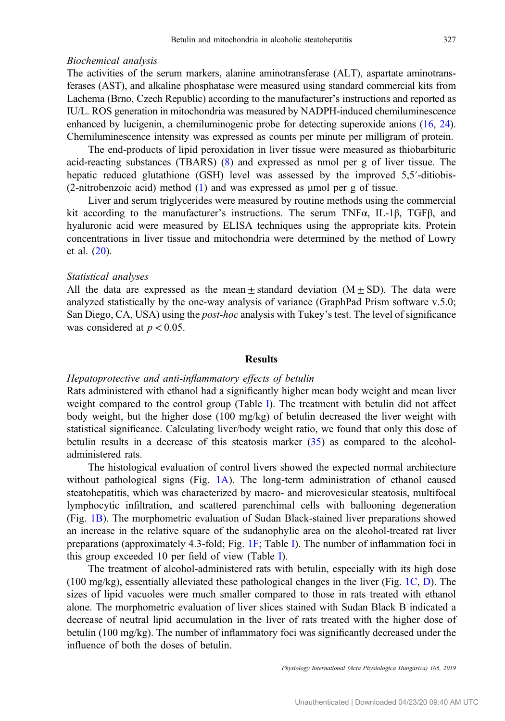## Biochemical analysis

The activities of the serum markers, alanine aminotransferase (ALT), aspartate aminotransferases (AST), and alkaline phosphatase were measured using standard commercial kits from Lachema (Brno, Czech Republic) according to the manufacturer's instructions and reported as IU/L. ROS generation in mitochondria was measured by NADPH-induced chemiluminescence enhanced by lucigenin, a chemiluminogenic probe for detecting superoxide anions [\(16,](#page-11-0) [24](#page-11-0)). Chemiluminescence intensity was expressed as counts per minute per milligram of protein.

The end-products of lipid peroxidation in liver tissue were measured as thiobarbituric acid-reacting substances (TBARS) ([8\)](#page-10-0) and expressed as nmol per g of liver tissue. The hepatic reduced glutathione (GSH) level was assessed by the improved 5,5′-ditiobis-(2-nitrobenzoic acid) method [\(1](#page-10-0)) and was expressed as μmol per g of tissue.

Liver and serum triglycerides were measured by routine methods using the commercial kit according to the manufacturer's instructions. The serum TNF $\alpha$ , IL-1 $\beta$ , TGF $\beta$ , and hyaluronic acid were measured by ELISA techniques using the appropriate kits. Protein concentrations in liver tissue and mitochondria were determined by the method of Lowry et al. ([20\)](#page-11-0).

#### Statistical analyses

All the data are expressed as the mean  $\pm$  standard deviation (M  $\pm$  SD). The data were analyzed statistically by the one-way analysis of variance (GraphPad Prism software v.5.0; San Diego, CA, USA) using the post-hoc analysis with Tukey's test. The level of significance was considered at  $p < 0.05$ .

## Results

## Hepatoprotective and anti-inflammatory effects of betulin

Rats administered with ethanol had a significantly higher mean body weight and mean liver weight compared to the control group (Table [I\)](#page-5-0). The treatment with betulin did not affect body weight, but the higher dose (100 mg/kg) of betulin decreased the liver weight with statistical significance. Calculating liver/body weight ratio, we found that only this dose of betulin results in a decrease of this steatosis marker [\(35](#page-11-0)) as compared to the alcoholadministered rats.

The histological evaluation of control livers showed the expected normal architecture without pathological signs (Fig. [1A\)](#page-5-0). The long-term administration of ethanol caused steatohepatitis, which was characterized by macro- and microvesicular steatosis, multifocal lymphocytic infiltration, and scattered parenchimal cells with ballooning degeneration (Fig. [1B\)](#page-5-0). The morphometric evaluation of Sudan Black-stained liver preparations showed an increase in the relative square of the sudanophylic area on the alcohol-treated rat liver preparations (approximately 4.3-fold; Fig. [1F](#page-5-0); Table [I\)](#page-5-0). The number of inflammation foci in this group exceeded 10 per field of view (Table [I\)](#page-5-0).

The treatment of alcohol-administered rats with betulin, especially with its high dose (100 mg/kg), essentially alleviated these pathological changes in the liver (Fig. [1C,](#page-5-0) [D\)](#page-5-0). The sizes of lipid vacuoles were much smaller compared to those in rats treated with ethanol alone. The morphometric evaluation of liver slices stained with Sudan Black B indicated a decrease of neutral lipid accumulation in the liver of rats treated with the higher dose of betulin (100 mg/kg). The number of inflammatory foci was significantly decreased under the influence of both the doses of betulin.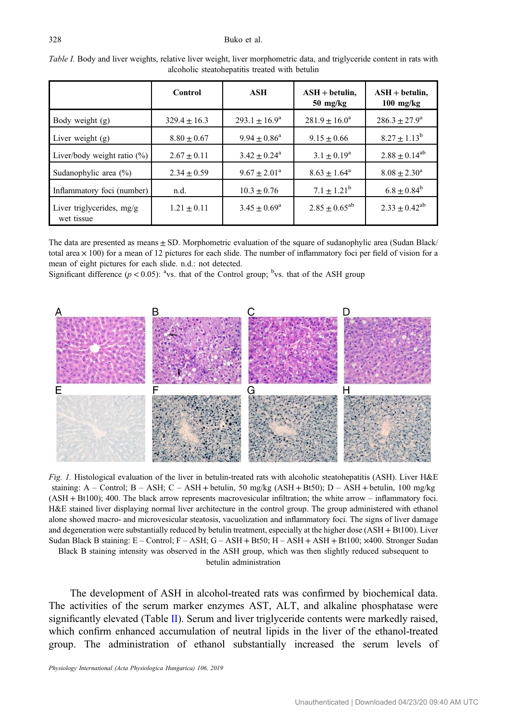#### <span id="page-5-0"></span>328 Buko et al.

|                                           | Control          | ASH                          | $ASH + betulin$ ,<br>$50 \; \text{mg/kg}$ | $ASH + betulin$ ,<br>$100$ mg/kg |
|-------------------------------------------|------------------|------------------------------|-------------------------------------------|----------------------------------|
| Body weight (g)                           | $329.4 \pm 16.3$ | $293.1 + 16.9^{\circ}$       | $281.9 \pm 16.0^a$                        | $286.3 \pm 27.9^{\circ}$         |
| Liver weight $(g)$                        | $8.80 \pm 0.67$  | $9.94 \pm 0.86^a$            | $9.15 \pm 0.66$                           | $8.27 \pm 1.13^b$                |
| Liver/body weight ratio $(\%)$            | $2.67 \pm 0.11$  | $3.42 \pm 0.24$ <sup>a</sup> | $3.1 \pm 0.19^a$                          | $2.88 \pm 0.14^{ab}$             |
| Sudanophylic area (%)                     | $2.34 \pm 0.59$  | $9.67 \pm 2.01^a$            | $8.63 \pm 1.64^{\circ}$                   | $8.08 \pm 2.30^{\circ}$          |
| Inflammatory foci (number)                | n.d.             | $10.3 \pm 0.76$              | $7.1 \pm 1.21^{\rm b}$                    | $6.8 \pm 0.84^b$                 |
| Liver triglycerides, $mg/g$<br>wet tissue | $1.21 \pm 0.11$  | $3.45 \pm 0.69^{\rm a}$      | $2.85 \pm 0.65^{ab}$                      | $2.33 \pm 0.42^{ab}$             |

Table I. Body and liver weights, relative liver weight, liver morphometric data, and triglyceride content in rats with alcoholic steatohepatitis treated with betulin

The data are presented as means  $\pm$  SD. Morphometric evaluation of the square of sudanophylic area (Sudan Black/ total area  $\times$  100) for a mean of 12 pictures for each slide. The number of inflammatory foci per field of vision for a mean of eight pictures for each slide. n.d.: not detected.

Significant difference ( $p < 0.05$ ): <sup>a</sup>vs. that of the Control group; <sup>b</sup>vs. that of the ASH group



Fig. 1. Histological evaluation of the liver in betulin-treated rats with alcoholic steatohepatitis (ASH). Liver H&E staining:  $A -$  Control;  $B - ASH$ ;  $C - ASH +$  betulin, 50 mg/kg (ASH + Bt50);  $D - ASH +$  betulin, 100 mg/kg (ASH + Bt100); 400. The black arrow represents macrovesicular infiltration; the white arrow – inflammatory foci. H&E stained liver displaying normal liver architecture in the control group. The group administered with ethanol alone showed macro- and microvesicular steatosis, vacuolization and inflammatory foci. The signs of liver damage and degeneration were substantially reduced by betulin treatment, especially at the higher dose (ASH + Bt100). Liver Sudan Black B staining: E – Control; F – ASH; G – ASH + Bt50; H – ASH + ASH + Bt100; ×400. Stronger Sudan Black B staining intensity was observed in the ASH group, which was then slightly reduced subsequent to

betulin administration

The development of ASH in alcohol-treated rats was confirmed by biochemical data. The activities of the serum marker enzymes AST, ALT, and alkaline phosphatase were significantly elevated (Table [II\)](#page-6-0). Serum and liver triglyceride contents were markedly raised, which confirm enhanced accumulation of neutral lipids in the liver of the ethanol-treated group. The administration of ethanol substantially increased the serum levels of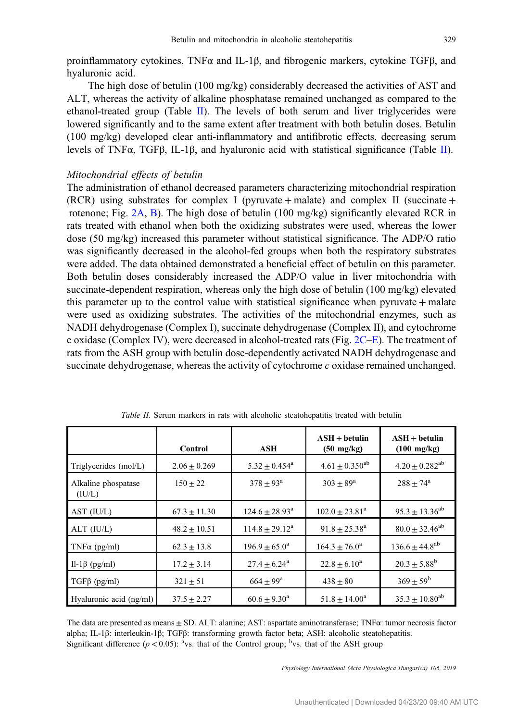<span id="page-6-0"></span>proinflammatory cytokines, TNFα and IL-1β, and fibrogenic markers, cytokine TGFβ, and hyaluronic acid.

The high dose of betulin (100 mg/kg) considerably decreased the activities of AST and ALT, whereas the activity of alkaline phosphatase remained unchanged as compared to the ethanol-treated group (Table II). The levels of both serum and liver triglycerides were lowered significantly and to the same extent after treatment with both betulin doses. Betulin (100 mg/kg) developed clear anti-inflammatory and antifibrotic effects, decreasing serum levels of TNFα, TGFβ, IL-1β, and hyaluronic acid with statistical significance (Table II).

#### Mitochondrial effects of betulin

The administration of ethanol decreased parameters characterizing mitochondrial respiration (RCR) using substrates for complex I (pyruvate + malate) and complex II (succinate + rotenone; Fig. [2A](#page-7-0), [B](#page-7-0)). The high dose of betulin (100 mg/kg) significantly elevated RCR in rats treated with ethanol when both the oxidizing substrates were used, whereas the lower dose (50 mg/kg) increased this parameter without statistical significance. The ADP/O ratio was significantly decreased in the alcohol-fed groups when both the respiratory substrates were added. The data obtained demonstrated a beneficial effect of betulin on this parameter. Both betulin doses considerably increased the ADP/O value in liver mitochondria with succinate-dependent respiration, whereas only the high dose of betulin (100 mg/kg) elevated this parameter up to the control value with statistical significance when pyruvate + malate were used as oxidizing substrates. The activities of the mitochondrial enzymes, such as NADH dehydrogenase (Complex I), succinate dehydrogenase (Complex II), and cytochrome c oxidase (Complex IV), were decreased in alcohol-treated rats (Fig. [2C](#page-7-0)–[E\)](#page-7-0). The treatment of rats from the ASH group with betulin dose-dependently activated NADH dehydrogenase and succinate dehydrogenase, whereas the activity of cytochrome  $c$  oxidase remained unchanged.

|                               | Control          | ASH                          | $\mathbf{ASH} + \mathbf{b}$ etulin<br>$(50 \text{ mg/kg})$ | $ASH + betulin$<br>$(100 \text{ mg/kg})$ |
|-------------------------------|------------------|------------------------------|------------------------------------------------------------|------------------------------------------|
| Triglycerides (mol/L)         | $2.06 \pm 0.269$ | $5.32 \pm 0.454^{\circ}$     | $4.61 + 0.350^{ab}$                                        | $4.20 \pm 0.282$ <sup>ab</sup>           |
| Alkaline phospatase<br>(IU/L) | $150 + 22$       | $378 + 93^{\rm a}$           | $303 + 89^{\rm a}$                                         | $288 + 74^{\rm a}$                       |
| AST $(IU/L)$                  | $67.3 \pm 11.30$ | $124.6 \pm 28.93^{\text{a}}$ | $102.0 + 23.81^{\circ}$                                    | $95.3 \pm 13.36^{ab}$                    |
| $ALT$ ( $IU/L$ )              | $48.2 \pm 10.51$ | $114.8 \pm 29.12^a$          | $91.8 + 25.38^{\rm a}$                                     | $80.0 \pm 32.46^{ab}$                    |
| TNF $\alpha$ (pg/ml)          | $62.3 \pm 13.8$  | $196.9 + 65.0^{\rm a}$       | $164.3 + 76.0^{\rm a}$                                     | $136.6 \pm 44.8^{ab}$                    |
| Il-1 $\beta$ (pg/ml)          | $17.2 \pm 3.14$  | $27.4 + 6.24$ <sup>a</sup>   | $22.8 + 6.10^a$                                            | $20.3 \pm 5.88^{\rm b}$                  |
| $TGF\beta$ (pg/ml)            | $321 \pm 51$     | $664 + 99^{\rm a}$           | $438 \pm 80$                                               | $369 \pm 59^{\rm b}$                     |
| Hyaluronic acid (ng/ml)       | $37.5 \pm 2.27$  | $60.6 \pm 9.30^a$            | $51.8 \pm 14.00^a$                                         | $35.3 \pm 10.80^{ab}$                    |

Table II. Serum markers in rats with alcoholic steatohepatitis treated with betulin

The data are presented as means ± SD. ALT: alanine; AST: aspartate aminotransferase; TNFα: tumor necrosis factor alpha; IL-1β: interleukin-1β; TGFβ: transforming growth factor beta; ASH: alcoholic steatohepatitis. Significant difference ( $p < 0.05$ ): <sup>a</sup>vs. that of the Control group; <sup>b</sup>vs. that of the ASH group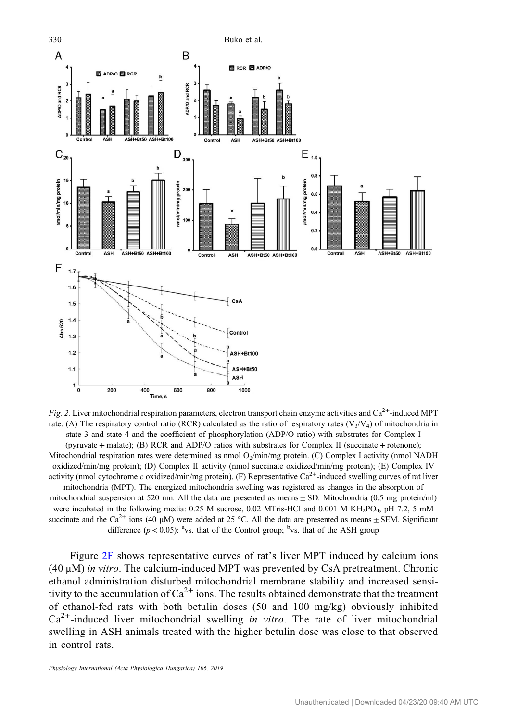<span id="page-7-0"></span>

Fig. 2. Liver mitochondrial respiration parameters, electron transport chain enzyme activities and  $Ca^{2+}$ -induced MPT rate. (A) The respiratory control ratio (RCR) calculated as the ratio of respiratory rates ( $V_3/V_4$ ) of mitochondria in state 3 and state 4 and the coefficient of phosphorylation (ADP/O ratio) with substrates for Complex I (pyruvate + malate); (B) RCR and ADP/O ratios with substrates for Complex II (succinate + rotenone); Mitochondrial respiration rates were determined as nmol  $O_2$ /min/mg protein. (C) Complex I activity (nmol NADH oxidized/min/mg protein); (D) Complex II activity (nmol succinate oxidized/min/mg protein); (E) Complex IV activity (nmol cytochrome c oxidized/min/mg protein). (F) Representative  $Ca^{2+}$ -induced swelling curves of rat liver mitochondria (MPT). The energized mitochondria swelling was registered as changes in the absorption of mitochondrial suspension at 520 nm. All the data are presented as means  $\pm$  SD. Mitochondria (0.5 mg protein/ml) were incubated in the following media: 0.25 M sucrose, 0.02 MTris-HCl and 0.001 M KH<sub>2</sub>PO<sub>4</sub>, pH 7.2, 5 mM succinate and the Ca<sup>2+</sup> ions (40 μM) were added at 25 °C. All the data are presented as means  $\pm$  SEM. Significant difference ( $p < 0.05$ ): <sup>a</sup>vs. that of the Control group; <sup>b</sup>vs. that of the ASH group

Figure 2F shows representative curves of rat's liver MPT induced by calcium ions (40 μM) in vitro. The calcium-induced MPT was prevented by CsA pretreatment. Chronic ethanol administration disturbed mitochondrial membrane stability and increased sensitivity to the accumulation of  $Ca^{2+}$  ions. The results obtained demonstrate that the treatment of ethanol-fed rats with both betulin doses (50 and 100 mg/kg) obviously inhibited  $Ca<sup>2+</sup>$ -induced liver mitochondrial swelling *in vitro*. The rate of liver mitochondrial swelling in ASH animals treated with the higher betulin dose was close to that observed in control rats.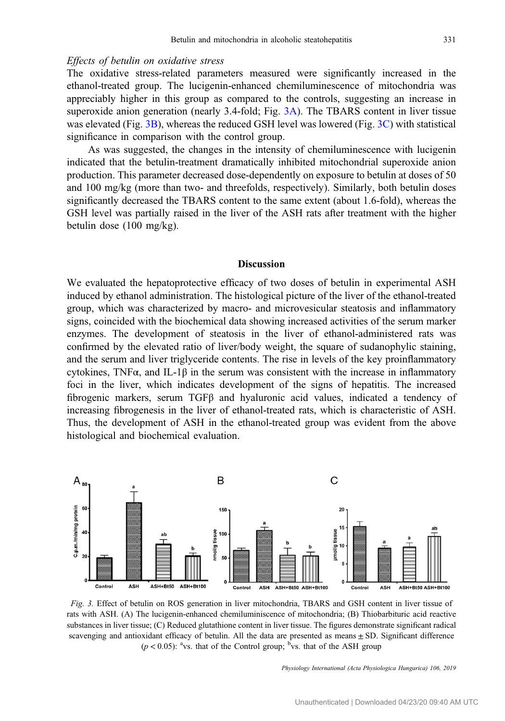## Effects of betulin on oxidative stress

The oxidative stress-related parameters measured were significantly increased in the ethanol-treated group. The lucigenin-enhanced chemiluminescence of mitochondria was appreciably higher in this group as compared to the controls, suggesting an increase in superoxide anion generation (nearly 3.4-fold; Fig. 3A). The TBARS content in liver tissue was elevated (Fig. 3B), whereas the reduced GSH level was lowered (Fig. 3C) with statistical significance in comparison with the control group.

As was suggested, the changes in the intensity of chemiluminescence with lucigenin indicated that the betulin-treatment dramatically inhibited mitochondrial superoxide anion production. This parameter decreased dose-dependently on exposure to betulin at doses of 50 and 100 mg/kg (more than two- and threefolds, respectively). Similarly, both betulin doses significantly decreased the TBARS content to the same extent (about 1.6-fold), whereas the GSH level was partially raised in the liver of the ASH rats after treatment with the higher betulin dose (100 mg/kg).

#### Discussion

We evaluated the hepatoprotective efficacy of two doses of betulin in experimental ASH induced by ethanol administration. The histological picture of the liver of the ethanol-treated group, which was characterized by macro- and microvesicular steatosis and inflammatory signs, coincided with the biochemical data showing increased activities of the serum marker enzymes. The development of steatosis in the liver of ethanol-administered rats was confirmed by the elevated ratio of liver/body weight, the square of sudanophylic staining, and the serum and liver triglyceride contents. The rise in levels of the key proinflammatory cytokines, TNF $\alpha$ , and IL-1 $\beta$  in the serum was consistent with the increase in inflammatory foci in the liver, which indicates development of the signs of hepatitis. The increased fibrogenic markers, serum TGFβ and hyaluronic acid values, indicated a tendency of increasing fibrogenesis in the liver of ethanol-treated rats, which is characteristic of ASH. Thus, the development of ASH in the ethanol-treated group was evident from the above histological and biochemical evaluation.



Fig. 3. Effect of betulin on ROS generation in liver mitochondria, TBARS and GSH content in liver tissue of rats with ASH. (A) The lucigenin-enhanced chemiluminiscence of mitochondria; (B) Thiobarbituric acid reactive substances in liver tissue; (C) Reduced glutathione content in liver tissue. The figures demonstrate significant radical scavenging and antioxidant efficacy of betulin. All the data are presented as means  $\pm$  SD. Significant difference  $(p < 0.05)$ : <sup>a</sup>vs. that of the Control group; <sup>b</sup>vs. that of the ASH group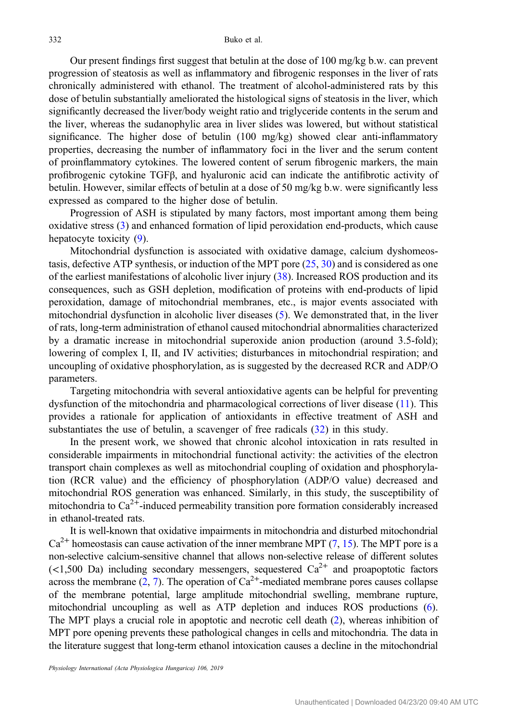Our present findings first suggest that betulin at the dose of 100 mg/kg b.w. can prevent progression of steatosis as well as inflammatory and fibrogenic responses in the liver of rats chronically administered with ethanol. The treatment of alcohol-administered rats by this dose of betulin substantially ameliorated the histological signs of steatosis in the liver, which significantly decreased the liver/body weight ratio and triglyceride contents in the serum and the liver, whereas the sudanophylic area in liver slides was lowered, but without statistical significance. The higher dose of betulin (100 mg/kg) showed clear anti-inflammatory properties, decreasing the number of inflammatory foci in the liver and the serum content of proinflammatory cytokines. The lowered content of serum fibrogenic markers, the main profibrogenic cytokine TGFβ, and hyaluronic acid can indicate the antifibrotic activity of betulin. However, similar effects of betulin at a dose of 50 mg/kg b.w. were significantly less expressed as compared to the higher dose of betulin.

Progression of ASH is stipulated by many factors, most important among them being oxidative stress [\(3](#page-10-0)) and enhanced formation of lipid peroxidation end-products, which cause hepatocyte toxicity [\(9](#page-10-0)).

Mitochondrial dysfunction is associated with oxidative damage, calcium dyshomeostasis, defective ATP synthesis, or induction of the MPT pore [\(25](#page-11-0), [30\)](#page-11-0) and is considered as one of the earliest manifestations of alcoholic liver injury [\(38](#page-11-0)). Increased ROS production and its consequences, such as GSH depletion, modification of proteins with end-products of lipid peroxidation, damage of mitochondrial membranes, etc., is major events associated with mitochondrial dysfunction in alcoholic liver diseases [\(5](#page-10-0)). We demonstrated that, in the liver of rats, long-term administration of ethanol caused mitochondrial abnormalities characterized by a dramatic increase in mitochondrial superoxide anion production (around 3.5-fold); lowering of complex I, II, and IV activities; disturbances in mitochondrial respiration; and uncoupling of oxidative phosphorylation, as is suggested by the decreased RCR and ADP/O parameters.

Targeting mitochondria with several antioxidative agents can be helpful for preventing dysfunction of the mitochondria and pharmacological corrections of liver disease ([11\)](#page-10-0). This provides a rationale for application of antioxidants in effective treatment of ASH and substantiates the use of betulin, a scavenger of free radicals ([32\)](#page-11-0) in this study.

In the present work, we showed that chronic alcohol intoxication in rats resulted in considerable impairments in mitochondrial functional activity: the activities of the electron transport chain complexes as well as mitochondrial coupling of oxidation and phosphorylation (RCR value) and the efficiency of phosphorylation (ADP/O value) decreased and mitochondrial ROS generation was enhanced. Similarly, in this study, the susceptibility of mitochondria to  $Ca^{2+}$ -induced permeability transition pore formation considerably increased in ethanol-treated rats.

It is well-known that oxidative impairments in mitochondria and disturbed mitochondrial  $Ca^{2+}$  homeostasis can cause activation of the inner membrane MPT [\(7,](#page-10-0) [15\)](#page-11-0). The MPT pore is a non-selective calcium-sensitive channel that allows non-selective release of different solutes  $\left($  <1,500 Da) including secondary messengers, sequestered Ca<sup>2+</sup> and proapoptotic factors across the membrane  $(2, 7)$  $(2, 7)$  $(2, 7)$  $(2, 7)$ . The operation of  $Ca^{2+}$ -mediated membrane pores causes collapse of the membrane potential, large amplitude mitochondrial swelling, membrane rupture, mitochondrial uncoupling as well as ATP depletion and induces ROS productions [\(6](#page-10-0)). The MPT plays a crucial role in apoptotic and necrotic cell death ([2\)](#page-10-0), whereas inhibition of MPT pore opening prevents these pathological changes in cells and mitochondria. The data in the literature suggest that long-term ethanol intoxication causes a decline in the mitochondrial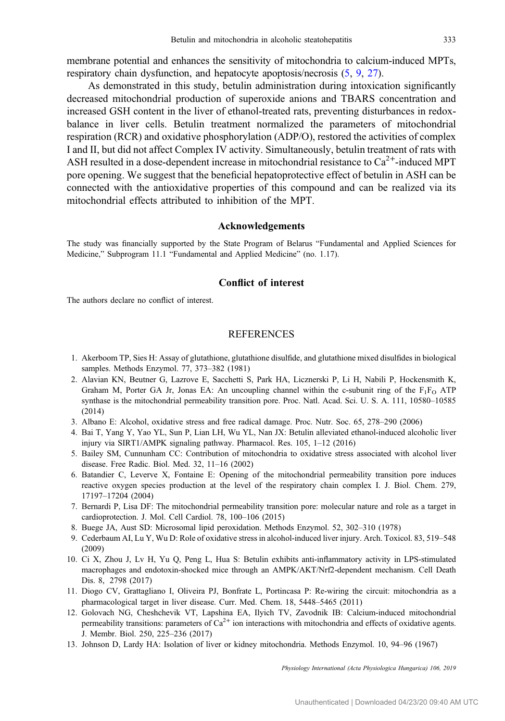<span id="page-10-0"></span>membrane potential and enhances the sensitivity of mitochondria to calcium-induced MPTs, respiratory chain dysfunction, and hepatocyte apoptosis/necrosis (5, 9, [27](#page-11-0)).

As demonstrated in this study, betulin administration during intoxication significantly decreased mitochondrial production of superoxide anions and TBARS concentration and increased GSH content in the liver of ethanol-treated rats, preventing disturbances in redoxbalance in liver cells. Betulin treatment normalized the parameters of mitochondrial respiration (RCR) and oxidative phosphorylation (ADP/O), restored the activities of complex I and II, but did not affect Complex IV activity. Simultaneously, betulin treatment of rats with ASH resulted in a dose-dependent increase in mitochondrial resistance to  $Ca^{2+}$ -induced MPT pore opening. We suggest that the beneficial hepatoprotective effect of betulin in ASH can be connected with the antioxidative properties of this compound and can be realized via its mitochondrial effects attributed to inhibition of the MPT.

## Acknowledgements

The study was financially supported by the State Program of Belarus "Fundamental and Applied Sciences for Medicine," Subprogram 11.1 "Fundamental and Applied Medicine" (no. 1.17).

## Conflict of interest

The authors declare no conflict of interest.

#### **REFERENCES**

- 1. Akerboom TP, Sies H: Assay of glutathione, glutathione disulfide, and glutathione mixed disulfides in biological samples. Methods Enzymol. 77, 373–382 (1981)
- 2. Alavian KN, Beutner G, Lazrove E, Sacchetti S, Park HA, Licznerski P, Li H, Nabili P, Hockensmith K, Graham M, Porter GA Jr, Jonas EA: An uncoupling channel within the c-subunit ring of the  $F_1F_0$  ATP synthase is the mitochondrial permeability transition pore. Proc. Natl. Acad. Sci. U. S. A. 111, 10580–10585 (2014)
- 3. Albano E: Alcohol, oxidative stress and free radical damage. Proc. Nutr. Soc. 65, 278–290 (2006)
- 4. Bai T, Yang Y, Yao YL, Sun P, Lian LH, Wu YL, Nan JX: Betulin alleviated ethanol-induced alcoholic liver injury via SIRT1/AMPK signaling pathway. Pharmacol. Res. 105, 1–12 (2016)
- 5. Bailey SM, Cunnunham CC: Contribution of mitochondria to oxidative stress associated with alcohol liver disease. Free Radic. Biol. Med. 32, 11–16 (2002)
- 6. Batandier C, Leverve X, Fontaine E: Opening of the mitochondrial permeability transition pore induces reactive oxygen species production at the level of the respiratory chain complex I. J. Biol. Chem. 279, 17197–17204 (2004)
- 7. Bernardi P, Lisa DF: The mitochondrial permeability transition pore: molecular nature and role as a target in cardioprotection. J. Mol. Cell Cardiol. 78, 100–106 (2015)
- 8. Buege JA, Aust SD: Microsomal lipid peroxidation. Methods Enzymol. 52, 302–310 (1978)
- 9. Cederbaum AI, Lu Y, Wu D: Role of oxidative stress in alcohol-induced liver injury. Arch. Toxicol. 83, 519–548 (2009)
- 10. Ci X, Zhou J, Lv H, Yu Q, Peng L, Hua S: Betulin exhibits anti-inflammatory activity in LPS-stimulated macrophages and endotoxin-shocked mice through an AMPK/AKT/Nrf2-dependent mechanism. Cell Death Dis. 8, 2798 (2017)
- 11. Diogo CV, Grattagliano I, Oliveira PJ, Bonfrate L, Portincasa P: Re-wiring the circuit: mitochondria as a pharmacological target in liver disease. Curr. Med. Chem. 18, 5448–5465 (2011)
- 12. Golovach NG, Cheshchevik VT, Lapshina EA, Ilyich TV, Zavodnik IB: Calcium-induced mitochondrial permeability transitions: parameters of  $Ca^{2+}$  ion interactions with mitochondria and effects of oxidative agents. J. Membr. Biol. 250, 225–236 (2017)
- 13. Johnson D, Lardy HA: Isolation of liver or kidney mitochondria. Methods Enzymol. 10, 94–96 (1967)